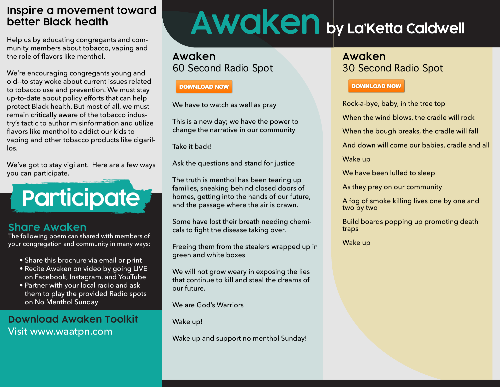#### **Inspire a movement toward better Black health**

Help us by educating congregants and community members about tobacco, vaping and the role of flavors like menthol.

We're encouraging congregants young and old--to stay woke about current issues related to tobacco use and prevention. We must stay up-to-date about policy efforts that can help protect Black health. But most of all, we must remain critically aware of the tobacco industry's tactic to author misinformation and utilize flavors like menthol to addict our kids to vaping and other tobacco products like cigarillos.

We've got to stay vigilant. Here are a few ways you can participate.

**Participate**

#### **Share Awaken**

The following poem can shared with members of your congregation and community in many ways:

- Share this brochure via email or print
- Recite Awaken on video by going LIVE on Facebook, Instagram, and YouTube
- Partner with your local radio and ask them to play the provided Radio spots on No Menthol Sunday

### **Download Awaken Toolkit**  Visit www.waatpn.com

# **Awaken by La'Ketta Caldwell**

#### **Awaken** 60 Second Radio Spot

#### **DOWNLOAD NOW**

We have to watch as well as pray

This is a new day; we have the power to change the narrative in our community

Take it back!

Ask the questions and stand for justice

The truth is menthol has been tearing up families, sneaking behind closed doors of homes, getting into the hands of our future, and the passage where the air is drawn.

Some have lost their breath needing chemicals to fight the disease taking over.

Freeing them from the stealers wrapped up in green and white boxes

We will not grow weary in exposing the lies that continue to kill and steal the dreams of our future.

We are God's Warriors

Wake up!

Wake up and support no menthol Sunday!

## **Awaken** 30 Second Radio Spot

#### **DOWNLOAD NOW**

Rock-a-bye, baby, in the tree top

When the wind blows, the cradle will rock

When the bough breaks, the cradle will fall

And down will come our babies, cradle and all

Wake up

We have been lulled to sleep

As they prey on our community

A fog of smoke killing lives one by one and two by two

Build boards popping up promoting death traps

Wake up